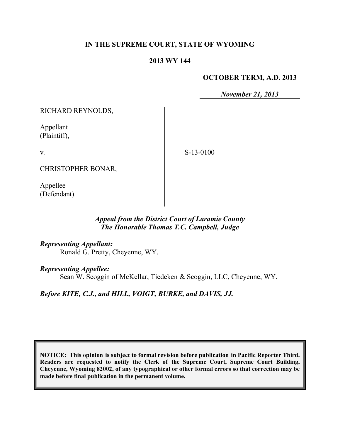### **IN THE SUPREME COURT, STATE OF WYOMING**

#### **2013 WY 144**

#### **OCTOBER TERM, A.D. 2013**

*November 21, 2013*

RICHARD REYNOLDS,

Appellant (Plaintiff),

v.

S-13-0100

CHRISTOPHER BONAR,

Appellee (Defendant).

## *Appeal from the District Court of Laramie County The Honorable Thomas T.C. Campbell, Judge*

*Representing Appellant:*

Ronald G. Pretty, Cheyenne, WY.

#### *Representing Appellee:*

Sean W. Scoggin of McKellar, Tiedeken & Scoggin, LLC, Cheyenne, WY.

*Before KITE, C.J., and HILL, VOIGT, BURKE, and DAVIS, JJ.*

**NOTICE: This opinion is subject to formal revision before publication in Pacific Reporter Third. Readers are requested to notify the Clerk of the Supreme Court, Supreme Court Building, Cheyenne, Wyoming 82002, of any typographical or other formal errors so that correction may be made before final publication in the permanent volume.**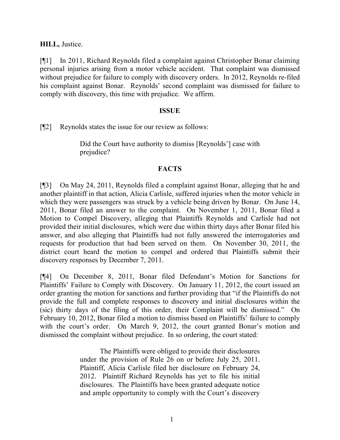**HILL,** Justice.

[¶1] In 2011, Richard Reynolds filed a complaint against Christopher Bonar claiming personal injuries arising from a motor vehicle accident. That complaint was dismissed without prejudice for failure to comply with discovery orders. In 2012, Reynolds re-filed his complaint against Bonar. Reynolds' second complaint was dismissed for failure to comply with discovery, this time with prejudice. We affirm.

### **ISSUE**

[¶2] Reynolds states the issue for our review as follows:

Did the Court have authority to dismiss [Reynolds'] case with prejudice?

## **FACTS**

[¶3] On May 24, 2011, Reynolds filed a complaint against Bonar, alleging that he and another plaintiff in that action, Alicia Carlisle, suffered injuries when the motor vehicle in which they were passengers was struck by a vehicle being driven by Bonar. On June 14, 2011, Bonar filed an answer to the complaint. On November 1, 2011, Bonar filed a Motion to Compel Discovery, alleging that Plaintiffs Reynolds and Carlisle had not provided their initial disclosures, which were due within thirty days after Bonar filed his answer, and also alleging that Plaintiffs had not fully answered the interrogatories and requests for production that had been served on them. On November 30, 2011, the district court heard the motion to compel and ordered that Plaintiffs submit their discovery responses by December 7, 2011.

[¶4] On December 8, 2011, Bonar filed Defendant's Motion for Sanctions for Plaintiffs' Failure to Comply with Discovery. On January 11, 2012, the court issued an order granting the motion for sanctions and further providing that "if the Plaintiffs do not provide the full and complete responses to discovery and initial disclosures within the (sic) thirty days of the filing of this order, their Complaint will be dismissed." On February 10, 2012, Bonar filed a motion to dismiss based on Plaintiffs' failure to comply with the court's order. On March 9, 2012, the court granted Bonar's motion and dismissed the complaint without prejudice. In so ordering, the court stated:

> The Plaintiffs were obliged to provide their disclosures under the provision of Rule 26 on or before July 25, 2011. Plaintiff, Alicia Carlisle filed her disclosure on February 24, 2012. Plaintiff Richard Reynolds has yet to file his initial disclosures. The Plaintiffs have been granted adequate notice and ample opportunity to comply with the Court's discovery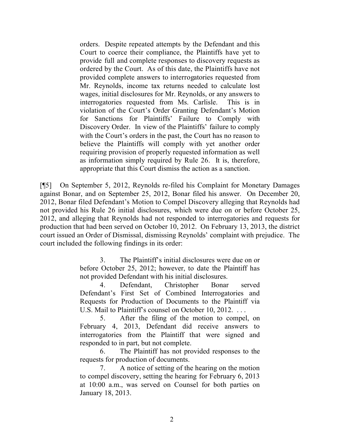orders. Despite repeated attempts by the Defendant and this Court to coerce their compliance, the Plaintiffs have yet to provide full and complete responses to discovery requests as ordered by the Court. As of this date, the Plaintiffs have not provided complete answers to interrogatories requested from Mr. Reynolds, income tax returns needed to calculate lost wages, initial disclosures for Mr. Reynolds, or any answers to interrogatories requested from Ms. Carlisle. This is in violation of the Court's Order Granting Defendant's Motion for Sanctions for Plaintiffs' Failure to Comply with Discovery Order. In view of the Plaintiffs' failure to comply with the Court's orders in the past, the Court has no reason to believe the Plaintiffs will comply with yet another order requiring provision of properly requested information as well as information simply required by Rule 26. It is, therefore, appropriate that this Court dismiss the action as a sanction.

[¶5] On September 5, 2012, Reynolds re-filed his Complaint for Monetary Damages against Bonar, and on September 25, 2012, Bonar filed his answer. On December 20, 2012, Bonar filed Defendant's Motion to Compel Discovery alleging that Reynolds had not provided his Rule 26 initial disclosures, which were due on or before October 25, 2012, and alleging that Reynolds had not responded to interrogatories and requests for production that had been served on October 10, 2012. On February 13, 2013, the district court issued an Order of Dismissal, dismissing Reynolds' complaint with prejudice. The court included the following findings in its order:

> 3. The Plaintiff's initial disclosures were due on or before October 25, 2012; however, to date the Plaintiff has not provided Defendant with his initial disclosures.

> 4. Defendant, Christopher Bonar served Defendant's First Set of Combined Interrogatories and Requests for Production of Documents to the Plaintiff via U.S. Mail to Plaintiff's counsel on October 10, 2012. . . .

> 5. After the filing of the motion to compel, on February 4, 2013, Defendant did receive answers to interrogatories from the Plaintiff that were signed and responded to in part, but not complete.

> 6. The Plaintiff has not provided responses to the requests for production of documents.

> 7. A notice of setting of the hearing on the motion to compel discovery, setting the hearing for February 6, 2013 at 10:00 a.m., was served on Counsel for both parties on January 18, 2013.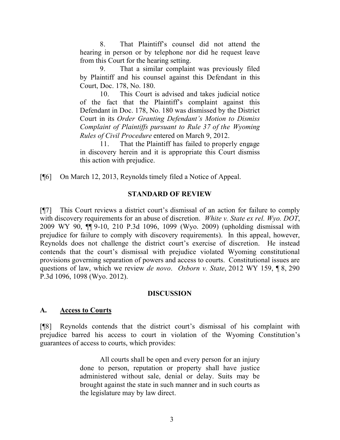8. That Plaintiff's counsel did not attend the hearing in person or by telephone nor did he request leave from this Court for the hearing setting.

9. That a similar complaint was previously filed by Plaintiff and his counsel against this Defendant in this Court, Doc. 178, No. 180.

10. This Court is advised and takes judicial notice of the fact that the Plaintiff's complaint against this Defendant in Doc. 178, No. 180 was dismissed by the District Court in its *Order Granting Defendant's Motion to Dismiss Complaint of Plaintiffs pursuant to Rule 37 of the Wyoming Rules of Civil Procedure* entered on March 9, 2012.

11. That the Plaintiff has failed to properly engage in discovery herein and it is appropriate this Court dismiss this action with prejudice.

[¶6] On March 12, 2013, Reynolds timely filed a Notice of Appeal.

## **STANDARD OF REVIEW**

[¶7] This Court reviews a district court's dismissal of an action for failure to comply with discovery requirements for an abuse of discretion. *White v. State ex rel. Wyo. DOT*, 2009 WY 90, ¶¶ 9-10, 210 P.3d 1096, 1099 (Wyo. 2009) (upholding dismissal with prejudice for failure to comply with discovery requirements). In this appeal, however, Reynolds does not challenge the district court's exercise of discretion. He instead contends that the court's dismissal with prejudice violated Wyoming constitutional provisions governing separation of powers and access to courts. Constitutional issues are questions of law, which we review *de novo*. *Osborn v. State*, 2012 WY 159, ¶ 8, 290 P.3d 1096, 1098 (Wyo. 2012).

#### **DISCUSSION**

## **A. Access to Courts**

[¶8] Reynolds contends that the district court's dismissal of his complaint with prejudice barred his access to court in violation of the Wyoming Constitution's guarantees of access to courts, which provides:

> All courts shall be open and every person for an injury done to person, reputation or property shall have justice administered without sale, denial or delay. Suits may be brought against the state in such manner and in such courts as the legislature may by law direct.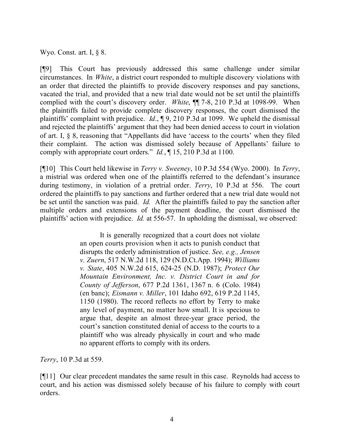Wyo. Const. art. I, § 8.

[¶9] This Court has previously addressed this same challenge under similar circumstances. In *White*, a district court responded to multiple discovery violations with an order that directed the plaintiffs to provide discovery responses and pay sanctions, vacated the trial, and provided that a new trial date would not be set until the plaintiffs complied with the court's discovery order. *White*, ¶¶ 7-8, 210 P.3d at 1098-99. When the plaintiffs failed to provide complete discovery responses, the court dismissed the plaintiffs' complaint with prejudice. *Id*., ¶ 9, 210 P.3d at 1099. We upheld the dismissal and rejected the plaintiffs' argument that they had been denied access to court in violation of art. I, § 8, reasoning that "Appellants did have 'access to the courts' when they filed their complaint. The action was dismissed solely because of Appellants' failure to comply with appropriate court orders." *Id.*, ¶ 15, 210 P.3d at 1100.

[¶10] This Court held likewise in *Terry v. Sweeney*, 10 P.3d 554 (Wyo. 2000). In *Terry*, a mistrial was ordered when one of the plaintiffs referred to the defendant's insurance during testimony, in violation of a pretrial order. *Terry*, 10 P.3d at 556. The court ordered the plaintiffs to pay sanctions and further ordered that a new trial date would not be set until the sanction was paid. *Id.* After the plaintiffs failed to pay the sanction after multiple orders and extensions of the payment deadline, the court dismissed the plaintiffs' action with prejudice. *Id.* at 556-57. In upholding the dismissal, we observed:

> It is generally recognized that a court does not violate an open courts provision when it acts to punish conduct that disrupts the orderly administration of justice. *See, e.g., Jensen v. Zuern*, 517 N.W.2d 118, 129 (N.D.Ct.App. 1994); *Williams v. State*, 405 N.W.2d 615, 624-25 (N.D. 1987); *Protect Our Mountain Environment, Inc. v. District Court in and for County of Jefferson*, 677 P.2d 1361, 1367 n. 6 (Colo. 1984) (en banc); *Eismann v. Miller*, 101 Idaho 692, 619 P.2d 1145, 1150 (1980). The record reflects no effort by Terry to make any level of payment, no matter how small. It is specious to argue that, despite an almost three-year grace period, the court's sanction constituted denial of access to the courts to a plaintiff who was already physically in court and who made no apparent efforts to comply with its orders.

*Terry*, 10 P.3d at 559.

[¶11] Our clear precedent mandates the same result in this case. Reynolds had access to court, and his action was dismissed solely because of his failure to comply with court orders.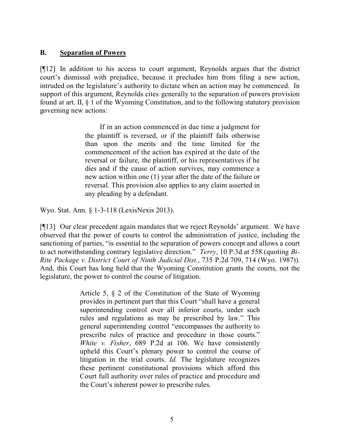## **B. Separation of Powers**

[¶12] In addition to his access to court argument, Reynolds argues that the district court's dismissal with prejudice, because it precludes him from filing a new action, intruded on the legislature's authority to dictate when an action may be commenced. In support of this argument, Reynolds cites generally to the separation of powers provision found at art. II, § 1 of the Wyoming Constitution, and to the following statutory provision governing new actions:

> If in an action commenced in due time a judgment for the plaintiff is reversed, or if the plaintiff fails otherwise than upon the merits and the time limited for the commencement of the action has expired at the date of the reversal or failure, the plaintiff, or his representatives if he dies and if the cause of action survives, may commence a new action within one (1) year after the date of the failure or reversal. This provision also applies to any claim asserted in any pleading by a defendant.

Wyo. Stat. Ann. § 1-3-118 (LexisNexis 2013).

[¶13] Our clear precedent again mandates that we reject Reynolds' argument. We have observed that the power of courts to control the administration of justice, including the sanctioning of parties, "is essential to the separation of powers concept and allows a court to act notwithstanding contrary legislative direction." *Terry*, 10 P.3d at 558 (quoting *Bi-Rite Package v. District Court of Ninth Judicial Dist.*, 735 P.2d 709, 714 (Wyo. 1987)). And, this Court has long held that the Wyoming Constitution grants the courts, not the legislature, the power to control the course of litigation.

> Article 5, § 2 of the Constitution of the State of Wyoming provides in pertinent part that this Court "shall have a general superintending control over all inferior courts, under such rules and regulations as may be prescribed by law." This general superintending control "encompasses the authority to prescribe rules of practice and procedure in those courts." *White v. Fisher*, 689 P.2d at 106. We have consistently upheld this Court's plenary power to control the course of litigation in the trial courts. *Id.* The legislature recognizes these pertinent constitutional provisions which afford this Court full authority over rules of practice and procedure and the Court's inherent power to prescribe rules.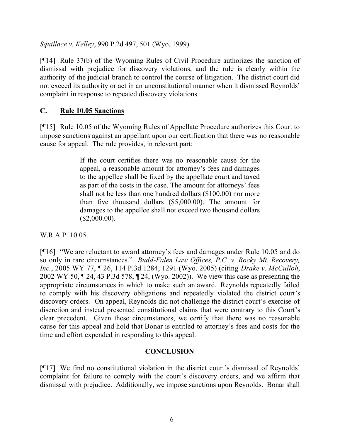*Squillace v. Kelley*, 990 P.2d 497, 501 (Wyo. 1999).

[¶14] Rule 37(b) of the Wyoming Rules of Civil Procedure authorizes the sanction of dismissal with prejudice for discovery violations, and the rule is clearly within the authority of the judicial branch to control the course of litigation. The district court did not exceed its authority or act in an unconstitutional manner when it dismissed Reynolds' complaint in response to repeated discovery violations.

## **C. Rule 10.05 Sanctions**

[¶15] Rule 10.05 of the Wyoming Rules of Appellate Procedure authorizes this Court to impose sanctions against an appellant upon our certification that there was no reasonable cause for appeal. The rule provides, in relevant part:

> If the court certifies there was no reasonable cause for the appeal, a reasonable amount for attorney's fees and damages to the appellee shall be fixed by the appellate court and taxed as part of the costs in the case. The amount for attorneys' fees shall not be less than one hundred dollars (\$100.00) nor more than five thousand dollars (\$5,000.00). The amount for damages to the appellee shall not exceed two thousand dollars  $($2,000.00)$ .

W.R.A.P. 10.05.

[¶16] "We are reluctant to award attorney's fees and damages under Rule 10.05 and do so only in rare circumstances." *Budd-Falen Law Offices, P.C. v. Rocky Mt. Recovery, Inc.*, 2005 WY 77, ¶ 26, 114 P.3d 1284, 1291 (Wyo. 2005) (citing *Drake v. McCulloh*, 2002 WY 50, ¶ 24, 43 P.3d 578, ¶ 24, (Wyo. 2002)). We view this case as presenting the appropriate circumstances in which to make such an award. Reynolds repeatedly failed to comply with his discovery obligations and repeatedly violated the district court's discovery orders. On appeal, Reynolds did not challenge the district court's exercise of discretion and instead presented constitutional claims that were contrary to this Court's clear precedent. Given these circumstances, we certify that there was no reasonable cause for this appeal and hold that Bonar is entitled to attorney's fees and costs for the time and effort expended in responding to this appeal.

# **CONCLUSION**

[¶17] We find no constitutional violation in the district court's dismissal of Reynolds' complaint for failure to comply with the court's discovery orders, and we affirm that dismissal with prejudice. Additionally, we impose sanctions upon Reynolds. Bonar shall